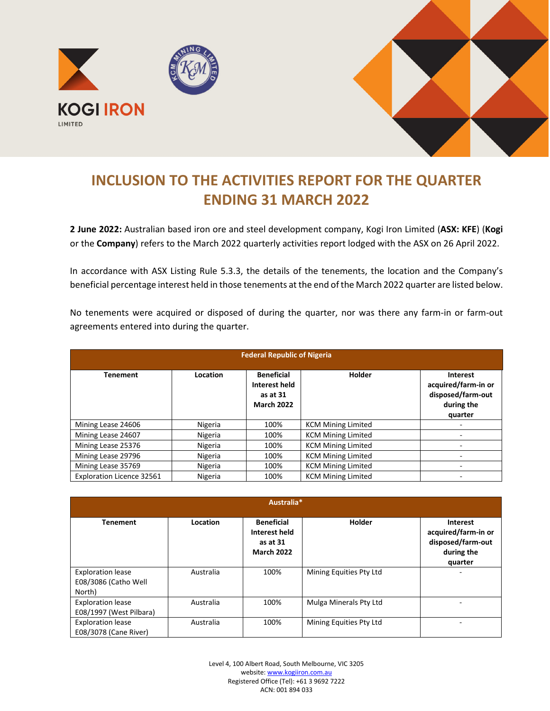



## **INCLUSION TO THE ACTIVITIES REPORT FOR THE QUARTER ENDING 31 MARCH 2022**

**2 June 2022:** Australian based iron ore and steel development company, Kogi Iron Limited (**ASX: KFE**) (**Kogi** or the **Company**) refers to the March 2022 quarterly activities report lodged with the ASX on 26 April 2022.

In accordance with ASX Listing Rule 5.3.3, the details of the tenements, the location and the Company's beneficial percentage interest held in those tenements at the end of the March 2022 quarter are listed below.

No tenements were acquired or disposed of during the quarter, nor was there any farm-in or farm-out agreements entered into during the quarter.

| <b>Federal Republic of Nigeria</b> |          |                                                                     |                           |                                                                                      |  |  |  |
|------------------------------------|----------|---------------------------------------------------------------------|---------------------------|--------------------------------------------------------------------------------------|--|--|--|
| <b>Tenement</b>                    | Location | <b>Beneficial</b><br>Interest held<br>as at 31<br><b>March 2022</b> | Holder                    | <b>Interest</b><br>acquired/farm-in or<br>disposed/farm-out<br>during the<br>quarter |  |  |  |
| Mining Lease 24606                 | Nigeria  | 100%                                                                | <b>KCM Mining Limited</b> |                                                                                      |  |  |  |
| Mining Lease 24607                 | Nigeria  | 100%                                                                | <b>KCM Mining Limited</b> |                                                                                      |  |  |  |
| Mining Lease 25376                 | Nigeria  | 100%                                                                | <b>KCM Mining Limited</b> |                                                                                      |  |  |  |
| Mining Lease 29796                 | Nigeria  | 100%                                                                | <b>KCM Mining Limited</b> |                                                                                      |  |  |  |
| Mining Lease 35769                 | Nigeria  | 100%                                                                | <b>KCM Mining Limited</b> |                                                                                      |  |  |  |
| <b>Exploration Licence 32561</b>   | Nigeria  | 100%                                                                | <b>KCM Mining Limited</b> |                                                                                      |  |  |  |

| Australia*                                                 |           |                                                                     |                         |                                                                               |  |  |  |
|------------------------------------------------------------|-----------|---------------------------------------------------------------------|-------------------------|-------------------------------------------------------------------------------|--|--|--|
| <b>Tenement</b>                                            | Location  | <b>Beneficial</b><br>Interest held<br>as at 31<br><b>March 2022</b> | <b>Holder</b>           | Interest<br>acquired/farm-in or<br>disposed/farm-out<br>during the<br>quarter |  |  |  |
| <b>Exploration lease</b><br>E08/3086 (Catho Well<br>North) | Australia | 100%                                                                | Mining Equities Pty Ltd |                                                                               |  |  |  |
| <b>Exploration lease</b><br>E08/1997 (West Pilbara)        | Australia | 100%                                                                | Mulga Minerals Pty Ltd  |                                                                               |  |  |  |
| <b>Exploration lease</b><br>E08/3078 (Cane River)          | Australia | 100%                                                                | Mining Equities Pty Ltd |                                                                               |  |  |  |

Level 4, 100 Albert Road, South Melbourne, VIC 3205 website: [www.kogiiron.com.au](http://www.kogiiron.com.au/) Registered Office (Tel): +61 3 9692 7222 ACN: 001 894 033